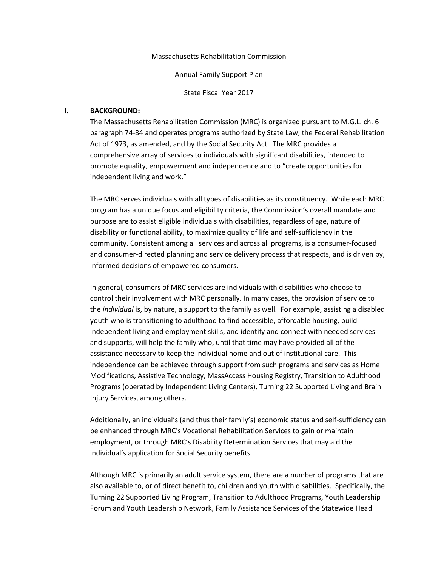Massachusetts Rehabilitation Commission

Annual Family Support Plan

State Fiscal Year 2017

### I. **BACKGROUND:**

The Massachusetts Rehabilitation Commission (MRC) is organized pursuant to M.G.L. ch. 6 paragraph 74-84 and operates programs authorized by State Law, the Federal Rehabilitation Act of 1973, as amended, and by the Social Security Act. The MRC provides a comprehensive array of services to individuals with significant disabilities, intended to promote equality, empowerment and independence and to "create opportunities for independent living and work."

The MRC serves individuals with all types of disabilities as its constituency. While each MRC program has a unique focus and eligibility criteria, the Commission's overall mandate and purpose are to assist eligible individuals with disabilities, regardless of age, nature of disability or functional ability, to maximize quality of life and self-sufficiency in the community. Consistent among all services and across all programs, is a consumer-focused and consumer-directed planning and service delivery process that respects, and is driven by, informed decisions of empowered consumers.

In general, consumers of MRC services are individuals with disabilities who choose to control their involvement with MRC personally. In many cases, the provision of service to the *individual* is, by nature, a support to the family as well. For example, assisting a disabled youth who is transitioning to adulthood to find accessible, affordable housing, build independent living and employment skills, and identify and connect with needed services and supports, will help the family who, until that time may have provided all of the assistance necessary to keep the individual home and out of institutional care. This independence can be achieved through support from such programs and services as Home Modifications, Assistive Technology, MassAccess Housing Registry, Transition to Adulthood Programs (operated by Independent Living Centers), Turning 22 Supported Living and Brain Injury Services, among others.

Additionally, an individual's (and thus their family's) economic status and self-sufficiency can be enhanced through MRC's Vocational Rehabilitation Services to gain or maintain employment, or through MRC's Disability Determination Services that may aid the individual's application for Social Security benefits.

Although MRC is primarily an adult service system, there are a number of programs that are also available to, or of direct benefit to, children and youth with disabilities. Specifically, the Turning 22 Supported Living Program, Transition to Adulthood Programs, Youth Leadership Forum and Youth Leadership Network, Family Assistance Services of the Statewide Head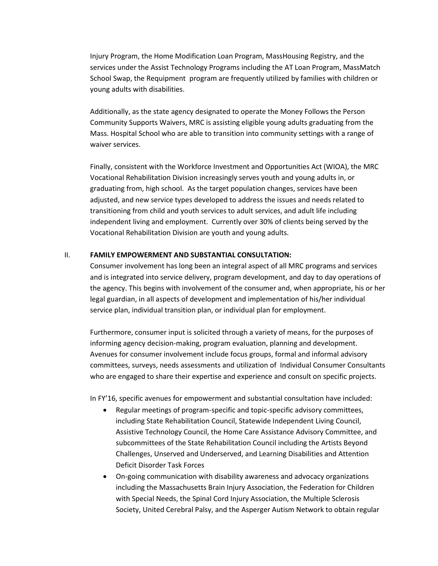Injury Program, the Home Modification Loan Program, MassHousing Registry, and the services under the Assist Technology Programs including the AT Loan Program, MassMatch School Swap, the Requipment program are frequently utilized by families with children or young adults with disabilities.

Additionally, as the state agency designated to operate the Money Follows the Person Community Supports Waivers, MRC is assisting eligible young adults graduating from the Mass. Hospital School who are able to transition into community settings with a range of waiver services.

Finally, consistent with the Workforce Investment and Opportunities Act (WIOA), the MRC Vocational Rehabilitation Division increasingly serves youth and young adults in, or graduating from, high school. As the target population changes, services have been adjusted, and new service types developed to address the issues and needs related to transitioning from child and youth services to adult services, and adult life including independent living and employment. Currently over 30% of clients being served by the Vocational Rehabilitation Division are youth and young adults.

### II. **FAMILY EMPOWERMENT AND SUBSTANTIAL CONSULTATION:**

Consumer involvement has long been an integral aspect of all MRC programs and services and is integrated into service delivery, program development, and day to day operations of the agency. This begins with involvement of the consumer and, when appropriate, his or her legal guardian, in all aspects of development and implementation of his/her individual service plan, individual transition plan, or individual plan for employment.

Furthermore, consumer input is solicited through a variety of means, for the purposes of informing agency decision-making, program evaluation, planning and development. Avenues for consumer involvement include focus groups, formal and informal advisory committees, surveys, needs assessments and utilization of Individual Consumer Consultants who are engaged to share their expertise and experience and consult on specific projects.

In FY'16, specific avenues for empowerment and substantial consultation have included:

- Regular meetings of program-specific and topic-specific advisory committees, including State Rehabilitation Council, Statewide Independent Living Council, Assistive Technology Council, the Home Care Assistance Advisory Committee, and subcommittees of the State Rehabilitation Council including the Artists Beyond Challenges, Unserved and Underserved, and Learning Disabilities and Attention Deficit Disorder Task Forces
- On-going communication with disability awareness and advocacy organizations including the Massachusetts Brain Injury Association, the Federation for Children with Special Needs, the Spinal Cord Injury Association, the Multiple Sclerosis Society, United Cerebral Palsy, and the Asperger Autism Network to obtain regular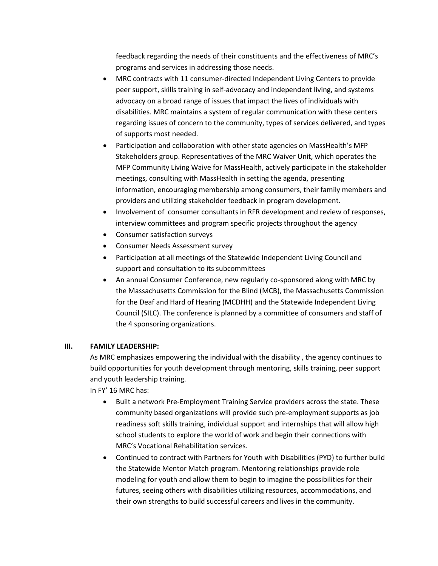feedback regarding the needs of their constituents and the effectiveness of MRC's programs and services in addressing those needs.

- MRC contracts with 11 consumer-directed Independent Living Centers to provide peer support, skills training in self-advocacy and independent living, and systems advocacy on a broad range of issues that impact the lives of individuals with disabilities. MRC maintains a system of regular communication with these centers regarding issues of concern to the community, types of services delivered, and types of supports most needed.
- Participation and collaboration with other state agencies on MassHealth's MFP Stakeholders group. Representatives of the MRC Waiver Unit, which operates the MFP Community Living Waive for MassHealth, actively participate in the stakeholder meetings, consulting with MassHealth in setting the agenda, presenting information, encouraging membership among consumers, their family members and providers and utilizing stakeholder feedback in program development.
- Involvement of consumer consultants in RFR development and review of responses, interview committees and program specific projects throughout the agency
- Consumer satisfaction surveys
- Consumer Needs Assessment survey
- Participation at all meetings of the Statewide Independent Living Council and support and consultation to its subcommittees
- An annual Consumer Conference, new regularly co-sponsored along with MRC by the Massachusetts Commission for the Blind (MCB), the Massachusetts Commission for the Deaf and Hard of Hearing (MCDHH) and the Statewide Independent Living Council (SILC). The conference is planned by a committee of consumers and staff of the 4 sponsoring organizations.

# **III. FAMILY LEADERSHIP:**

As MRC emphasizes empowering the individual with the disability , the agency continues to build opportunities for youth development through mentoring, skills training, peer support and youth leadership training.

In FY' 16 MRC has:

- Built a network Pre-Employment Training Service providers across the state. These community based organizations will provide such pre-employment supports as job readiness soft skills training, individual support and internships that will allow high school students to explore the world of work and begin their connections with MRC's Vocational Rehabilitation services.
- Continued to contract with Partners for Youth with Disabilities (PYD) to further build the Statewide Mentor Match program. Mentoring relationships provide role modeling for youth and allow them to begin to imagine the possibilities for their futures, seeing others with disabilities utilizing resources, accommodations, and their own strengths to build successful careers and lives in the community.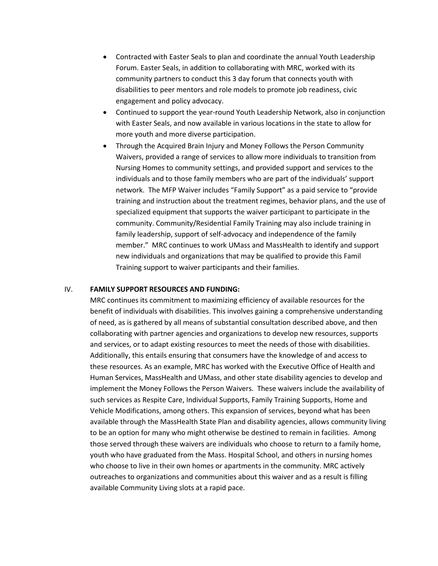- Contracted with Easter Seals to plan and coordinate the annual Youth Leadership Forum. Easter Seals, in addition to collaborating with MRC, worked with its community partners to conduct this 3 day forum that connects youth with disabilities to peer mentors and role models to promote job readiness, civic engagement and policy advocacy.
- Continued to support the year-round Youth Leadership Network, also in conjunction with Easter Seals, and now available in various locations in the state to allow for more youth and more diverse participation.
- Through the Acquired Brain Injury and Money Follows the Person Community Waivers, provided a range of services to allow more individuals to transition from Nursing Homes to community settings, and provided support and services to the individuals and to those family members who are part of the individuals' support network. The MFP Waiver includes "Family Support" as a paid service to "provide training and instruction about the treatment regimes, behavior plans, and the use of specialized equipment that supports the waiver participant to participate in the community. Community/Residential Family Training may also include training in family leadership, support of self-advocacy and independence of the family member." MRC continues to work UMass and MassHealth to identify and support new individuals and organizations that may be qualified to provide this Famil Training support to waiver participants and their families.

### IV. **FAMILY SUPPORT RESOURCES AND FUNDING:**

MRC continues its commitment to maximizing efficiency of available resources for the benefit of individuals with disabilities. This involves gaining a comprehensive understanding of need, as is gathered by all means of substantial consultation described above, and then collaborating with partner agencies and organizations to develop new resources, supports and services, or to adapt existing resources to meet the needs of those with disabilities. Additionally, this entails ensuring that consumers have the knowledge of and access to these resources. As an example, MRC has worked with the Executive Office of Health and Human Services, MassHealth and UMass, and other state disability agencies to develop and implement the Money Follows the Person Waivers. These waivers include the availability of such services as Respite Care, Individual Supports, Family Training Supports, Home and Vehicle Modifications, among others. This expansion of services, beyond what has been available through the MassHealth State Plan and disability agencies, allows community living to be an option for many who might otherwise be destined to remain in facilities. Among those served through these waivers are individuals who choose to return to a family home, youth who have graduated from the Mass. Hospital School, and others in nursing homes who choose to live in their own homes or apartments in the community. MRC actively outreaches to organizations and communities about this waiver and as a result is filling available Community Living slots at a rapid pace.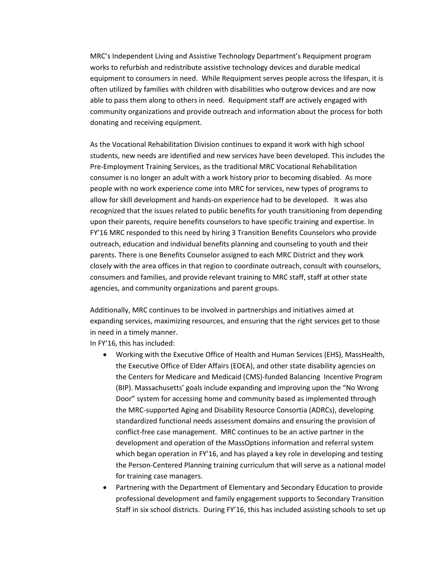MRC's Independent Living and Assistive Technology Department's Requipment program works to refurbish and redistribute assistive technology devices and durable medical equipment to consumers in need. While Requipment serves people across the lifespan, it is often utilized by families with children with disabilities who outgrow devices and are now able to pass them along to others in need. Requipment staff are actively engaged with community organizations and provide outreach and information about the process for both donating and receiving equipment.

As the Vocational Rehabilitation Division continues to expand it work with high school students, new needs are identified and new services have been developed. This includes the Pre-Employment Training Services, as the traditional MRC Vocational Rehabilitation consumer is no longer an adult with a work history prior to becoming disabled. As more people with no work experience come into MRC for services, new types of programs to allow for skill development and hands-on experience had to be developed. It was also recognized that the issues related to public benefits for youth transitioning from depending upon their parents, require benefits counselors to have specific training and expertise. In FY'16 MRC responded to this need by hiring 3 Transition Benefits Counselors who provide outreach, education and individual benefits planning and counseling to youth and their parents. There is one Benefits Counselor assigned to each MRC District and they work closely with the area offices in that region to coordinate outreach, consult with counselors, consumers and families, and provide relevant training to MRC staff, staff at other state agencies, and community organizations and parent groups.

Additionally, MRC continues to be involved in partnerships and initiatives aimed at expanding services, maximizing resources, and ensuring that the right services get to those in need in a timely manner.

In FY'16, this has included:

- Working with the Executive Office of Health and Human Services (EHS), MassHealth, the Executive Office of Elder Affairs (EOEA), and other state disability agencies on the Centers for Medicare and Medicaid (CMS)-funded Balancing Incentive Program (BIP). Massachusetts' goals include expanding and improving upon the "No Wrong Door" system for accessing home and community based as implemented through the MRC-supported Aging and Disability Resource Consortia (ADRCs), developing standardized functional needs assessment domains and ensuring the provision of conflict-free case management. MRC continues to be an active partner in the development and operation of the MassOptions information and referral system which began operation in FY'16, and has played a key role in developing and testing the Person-Centered Planning training curriculum that will serve as a national model for training case managers.
- Partnering with the Department of Elementary and Secondary Education to provide professional development and family engagement supports to Secondary Transition Staff in six school districts. During FY'16, this has included assisting schools to set up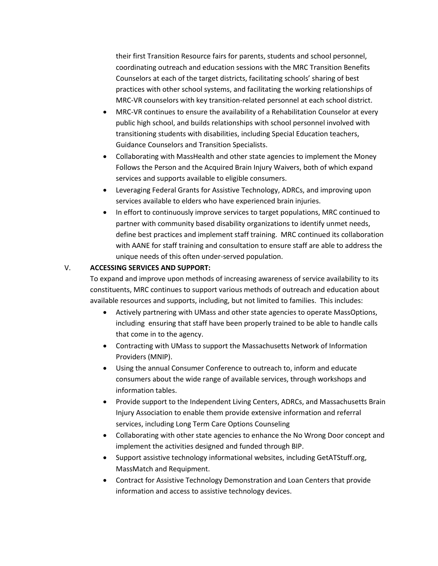their first Transition Resource fairs for parents, students and school personnel, coordinating outreach and education sessions with the MRC Transition Benefits Counselors at each of the target districts, facilitating schools' sharing of best practices with other school systems, and facilitating the working relationships of MRC-VR counselors with key transition-related personnel at each school district.

- MRC-VR continues to ensure the availability of a Rehabilitation Counselor at every public high school, and builds relationships with school personnel involved with transitioning students with disabilities, including Special Education teachers, Guidance Counselors and Transition Specialists.
- Collaborating with MassHealth and other state agencies to implement the Money Follows the Person and the Acquired Brain Injury Waivers, both of which expand services and supports available to eligible consumers.
- Leveraging Federal Grants for Assistive Technology, ADRCs, and improving upon services available to elders who have experienced brain injuries.
- In effort to continuously improve services to target populations, MRC continued to partner with community based disability organizations to identify unmet needs, define best practices and implement staff training. MRC continued its collaboration with AANE for staff training and consultation to ensure staff are able to address the unique needs of this often under-served population.

## V. **ACCESSING SERVICES AND SUPPORT:**

To expand and improve upon methods of increasing awareness of service availability to its constituents, MRC continues to support various methods of outreach and education about available resources and supports, including, but not limited to families. This includes:

- Actively partnering with UMass and other state agencies to operate MassOptions, including ensuring that staff have been properly trained to be able to handle calls that come in to the agency.
- Contracting with UMass to support the Massachusetts Network of Information Providers (MNIP).
- Using the annual Consumer Conference to outreach to, inform and educate consumers about the wide range of available services, through workshops and information tables.
- Provide support to the Independent Living Centers, ADRCs, and Massachusetts Brain Injury Association to enable them provide extensive information and referral services, including Long Term Care Options Counseling
- Collaborating with other state agencies to enhance the No Wrong Door concept and implement the activities designed and funded through BIP.
- Support assistive technology informational websites, including GetATStuff.org, MassMatch and Requipment.
- Contract for Assistive Technology Demonstration and Loan Centers that provide information and access to assistive technology devices.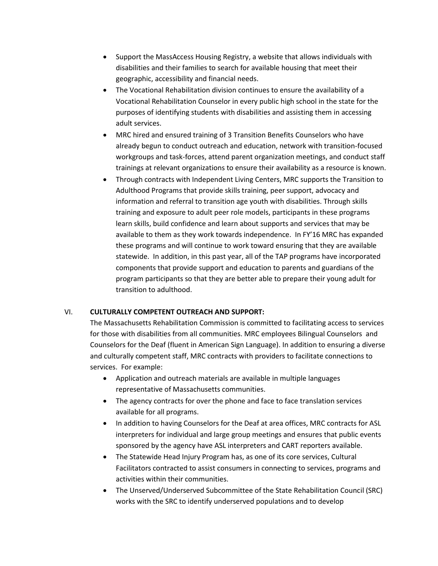- Support the MassAccess Housing Registry, a website that allows individuals with disabilities and their families to search for available housing that meet their geographic, accessibility and financial needs.
- The Vocational Rehabilitation division continues to ensure the availability of a Vocational Rehabilitation Counselor in every public high school in the state for the purposes of identifying students with disabilities and assisting them in accessing adult services.
- MRC hired and ensured training of 3 Transition Benefits Counselors who have already begun to conduct outreach and education, network with transition-focused workgroups and task-forces, attend parent organization meetings, and conduct staff trainings at relevant organizations to ensure their availability as a resource is known.
- Through contracts with Independent Living Centers, MRC supports the Transition to Adulthood Programs that provide skills training, peer support, advocacy and information and referral to transition age youth with disabilities. Through skills training and exposure to adult peer role models, participants in these programs learn skills, build confidence and learn about supports and services that may be available to them as they work towards independence. In FY'16 MRC has expanded these programs and will continue to work toward ensuring that they are available statewide. In addition, in this past year, all of the TAP programs have incorporated components that provide support and education to parents and guardians of the program participants so that they are better able to prepare their young adult for transition to adulthood.

# VI. **CULTURALLY COMPETENT OUTREACH AND SUPPORT:**

The Massachusetts Rehabilitation Commission is committed to facilitating access to services for those with disabilities from all communities. MRC employees Bilingual Counselors and Counselors for the Deaf (fluent in American Sign Language). In addition to ensuring a diverse and culturally competent staff, MRC contracts with providers to facilitate connections to services. For example:

- Application and outreach materials are available in multiple languages representative of Massachusetts communities.
- The agency contracts for over the phone and face to face translation services available for all programs.
- In addition to having Counselors for the Deaf at area offices, MRC contracts for ASL interpreters for individual and large group meetings and ensures that public events sponsored by the agency have ASL interpreters and CART reporters available.
- The Statewide Head Injury Program has, as one of its core services, Cultural Facilitators contracted to assist consumers in connecting to services, programs and activities within their communities.
- The Unserved/Underserved Subcommittee of the State Rehabilitation Council (SRC) works with the SRC to identify underserved populations and to develop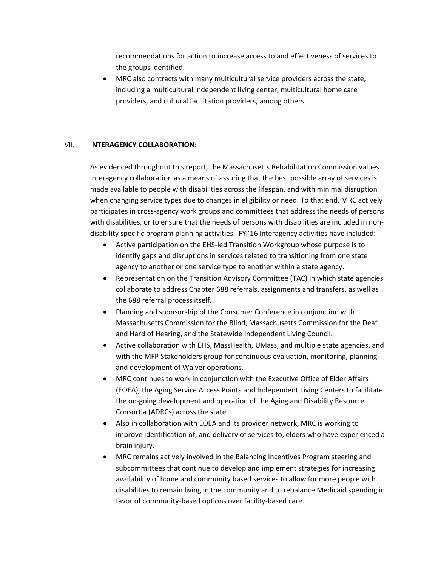recommendations for action to increase access to and effectiveness of services to the groups identified.

 MRC also contracts with many multicultural service providers across the state, including a multicultural independent living center, multicultural home care providers, and cultural facilitation providers, among others.

## VII. I**NTERAGENCY COLLABORATION:**

As evidenced throughout this report, the Massachusetts Rehabilitation Commission values interagency collaboration as a means of assuring that the best possible array of services is made available to people with disabilities across the lifespan, and with minimal disruption when changing service types due to changes in eligibility or need. To that end, MRC actively participates in cross-agency work groups and committees that address the needs of persons with disabilities, or to ensure that the needs of persons with disabilities are included in nondisability specific program planning activities. FY '16 Interagency activities have included:

- Active participation on the EHS-led Transition Workgroup whose purpose is to identify gaps and disruptions in services related to transitioning from one state agency to another or one service type to another within a state agency.
- Representation on the Transition Advisory Committee (TAC) in which state agencies collaborate to address Chapter 688 referrals, assignments and transfers, as well as the 688 referral process itself.
- Planning and sponsorship of the Consumer Conference in conjunction with Massachusetts Commission for the Blind, Massachusetts Commission for the Deaf and Hard of Hearing, and the Statewide Independent Living Council.
- Active collaboration with EHS, MassHealth, UMass, and multiple state agencies, and with the MFP Stakeholders group for continuous evaluation, monitoring, planning and development of Waiver operations.
- MRC continues to work in conjunction with the Executive Office of Elder Affairs (EOEA), the Aging Service Access Points and Independent Living Centers to facilitate the on-going development and operation of the Aging and Disability Resource Consortia (ADRCs) across the state.
- Also in collaboration with EOEA and its provider network, MRC is working to improve identification of, and delivery of services to, elders who have experienced a brain injury.
- MRC remains actively involved in the Balancing Incentives Program steering and subcommittees that continue to develop and implement strategies for increasing availability of home and community based services to allow for more people with disabilities to remain living in the community and to rebalance Medicaid spending in favor of community-based options over facility-based care.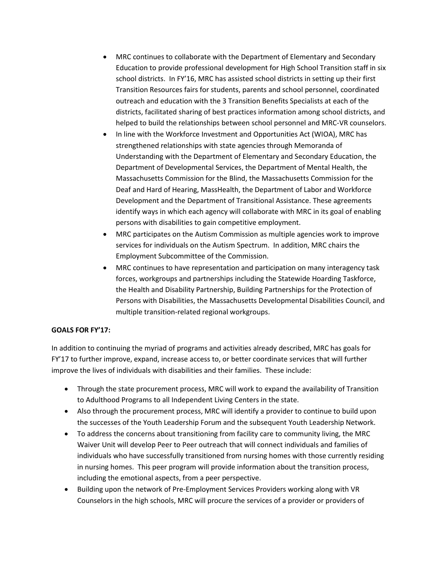- MRC continues to collaborate with the Department of Elementary and Secondary Education to provide professional development for High School Transition staff in six school districts. In FY'16, MRC has assisted school districts in setting up their first Transition Resources fairs for students, parents and school personnel, coordinated outreach and education with the 3 Transition Benefits Specialists at each of the districts, facilitated sharing of best practices information among school districts, and helped to build the relationships between school personnel and MRC-VR counselors.
- In line with the Workforce Investment and Opportunities Act (WIOA), MRC has strengthened relationships with state agencies through Memoranda of Understanding with the Department of Elementary and Secondary Education, the Department of Developmental Services, the Department of Mental Health, the Massachusetts Commission for the Blind, the Massachusetts Commission for the Deaf and Hard of Hearing, MassHealth, the Department of Labor and Workforce Development and the Department of Transitional Assistance. These agreements identify ways in which each agency will collaborate with MRC in its goal of enabling persons with disabilities to gain competitive employment.
- MRC participates on the Autism Commission as multiple agencies work to improve services for individuals on the Autism Spectrum. In addition, MRC chairs the Employment Subcommittee of the Commission.
- MRC continues to have representation and participation on many interagency task forces, workgroups and partnerships including the Statewide Hoarding Taskforce, the Health and Disability Partnership, Building Partnerships for the Protection of Persons with Disabilities, the Massachusetts Developmental Disabilities Council, and multiple transition-related regional workgroups.

## **GOALS FOR FY'17:**

In addition to continuing the myriad of programs and activities already described, MRC has goals for FY'17 to further improve, expand, increase access to, or better coordinate services that will further improve the lives of individuals with disabilities and their families. These include:

- Through the state procurement process, MRC will work to expand the availability of Transition to Adulthood Programs to all Independent Living Centers in the state.
- Also through the procurement process, MRC will identify a provider to continue to build upon the successes of the Youth Leadership Forum and the subsequent Youth Leadership Network.
- To address the concerns about transitioning from facility care to community living, the MRC Waiver Unit will develop Peer to Peer outreach that will connect individuals and families of individuals who have successfully transitioned from nursing homes with those currently residing in nursing homes. This peer program will provide information about the transition process, including the emotional aspects, from a peer perspective.
- Building upon the network of Pre-Employment Services Providers working along with VR Counselors in the high schools, MRC will procure the services of a provider or providers of